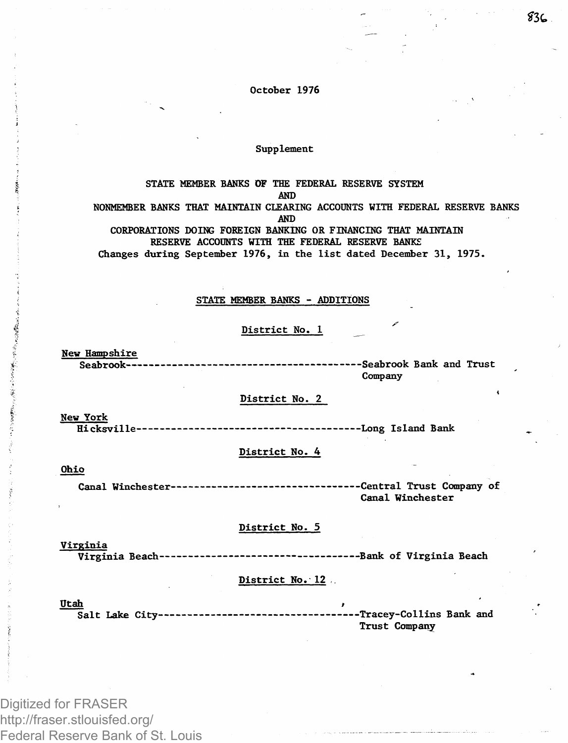**October 1976**

## **Supplement**

**STATE MEMBER BANKS OF THE FEDERAL RESERVE SYSTEM AND NONMEMBER BANKS THAT MAINTAIN CLEARING ACCOUNTS WITH FEDERAL RESERVE BANKS AND CORPORATIONS DOING FOREIGN BANKING OR FINANCING THAT MAINTAIN RESERVE ACCOUNTS WITH THE FEDERAL RESERVE BANKS Changes during September 1976, in the list dated December 31, 1975.**

#### **STATE MEMBER BANKS - ADDITIONS**

## **District No. 1 ^**

**New Hampshire Seabrook Seabrook Bank and Trust**

**Company** 

### **District No. 2**

**New York Hicksville Long Island Bank**

#### **District No. 4**

#### **Ohio**

**Canal Winchester Central Trust Company of Canal Winchester**

#### **District No. 5**

**Virginia Virginia Beach Bank of Virginia Beach**

## **District No. 12 ,.**

**Utah > Salt Lake City Tracey-Collins Bank and Trust Company**

Digitized for FRASER http://fraser.stlouisfed.org/ Federal Reserve Bank of St. Louis